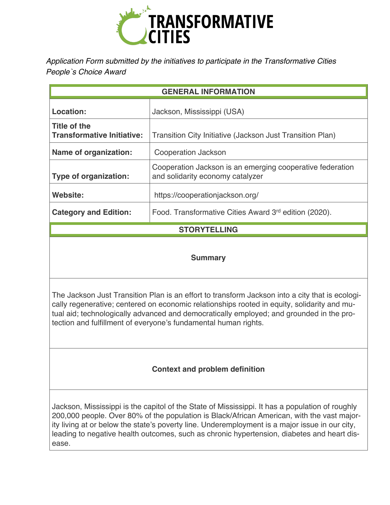

*Application Form submitted by the initiatives to participate in the Transformative Cities People`s Choice Award* 

| <b>GENERAL INFORMATION</b>                        |                                                                                               |
|---------------------------------------------------|-----------------------------------------------------------------------------------------------|
| Location:                                         | Jackson, Mississippi (USA)                                                                    |
| Title of the<br><b>Transformative Initiative:</b> | Transition City Initiative (Jackson Just Transition Plan)                                     |
| Name of organization:                             | Cooperation Jackson                                                                           |
| <b>Type of organization:</b>                      | Cooperation Jackson is an emerging cooperative federation<br>and solidarity economy catalyzer |
| Website:                                          | https://cooperationjackson.org/                                                               |
| <b>Category and Edition:</b>                      | Food. Transformative Cities Award 3rd edition (2020).                                         |
| <b>STORYTELLING</b>                               |                                                                                               |

### **Summary**

The Jackson Just Transition Plan is an effort to transform Jackson into a city that is ecologically regenerative; centered on economic relationships rooted in equity, solidarity and mutual aid; technologically advanced and democratically employed; and grounded in the protection and fulfillment of everyone's fundamental human rights.

# **Context and problem definition**

Jackson, Mississippi is the capitol of the State of Mississippi. It has a population of roughly 200,000 people. Over 80% of the population is Black/African American, with the vast majority living at or below the state's poverty line. Underemployment is a major issue in our city, leading to negative health outcomes, such as chronic hypertension, diabetes and heart disease.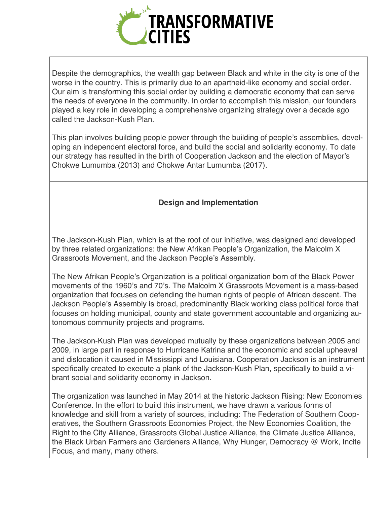

Despite the demographics, the wealth gap between Black and white in the city is one of the worse in the country. This is primarily due to an apartheid-like economy and social order. Our aim is transforming this social order by building a democratic economy that can serve the needs of everyone in the community. In order to accomplish this mission, our founders played a key role in developing a comprehensive organizing strategy over a decade ago called the Jackson-Kush Plan.

This plan involves building people power through the building of people's assemblies, developing an independent electoral force, and build the social and solidarity economy. To date our strategy has resulted in the birth of Cooperation Jackson and the election of Mayor's Chokwe Lumumba (2013) and Chokwe Antar Lumumba (2017).

## **Design and Implementation**

The Jackson-Kush Plan, which is at the root of our initiative, was designed and developed by three related organizations: the New Afrikan People's Organization, the Malcolm X Grassroots Movement, and the Jackson People's Assembly.

The New Afrikan People's Organization is a political organization born of the Black Power movements of the 1960's and 70's. The Malcolm X Grassroots Movement is a mass-based organization that focuses on defending the human rights of people of African descent. The Jackson People's Assembly is broad, predominantly Black working class political force that focuses on holding municipal, county and state government accountable and organizing autonomous community projects and programs.

The Jackson-Kush Plan was developed mutually by these organizations between 2005 and 2009, in large part in response to Hurricane Katrina and the economic and social upheaval and dislocation it caused in Mississippi and Louisiana. Cooperation Jackson is an instrument specifically created to execute a plank of the Jackson-Kush Plan, specifically to build a vibrant social and solidarity economy in Jackson.

The organization was launched in May 2014 at the historic Jackson Rising: New Economies Conference. In the effort to build this instrument, we have drawn a various forms of knowledge and skill from a variety of sources, including: The Federation of Southern Cooperatives, the Southern Grassroots Economies Project, the New Economies Coalition, the Right to the City Alliance, Grassroots Global Justice Alliance, the Climate Justice Alliance, the Black Urban Farmers and Gardeners Alliance, Why Hunger, Democracy @ Work, Incite Focus, and many, many others.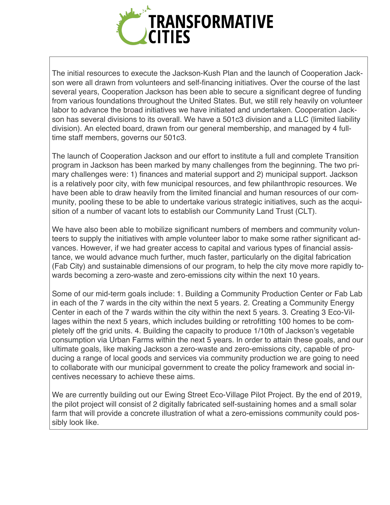

The initial resources to execute the Jackson-Kush Plan and the launch of Cooperation Jackson were all drawn from volunteers and self-financing initiatives. Over the course of the last several years, Cooperation Jackson has been able to secure a significant degree of funding from various foundations throughout the United States. But, we still rely heavily on volunteer labor to advance the broad initiatives we have initiated and undertaken. Cooperation Jackson has several divisions to its overall. We have a 501c3 division and a LLC (limited liability division). An elected board, drawn from our general membership, and managed by 4 fulltime staff members, governs our 501c3.

The launch of Cooperation Jackson and our effort to institute a full and complete Transition program in Jackson has been marked by many challenges from the beginning. The two primary challenges were: 1) finances and material support and 2) municipal support. Jackson is a relatively poor city, with few municipal resources, and few philanthropic resources. We have been able to draw heavily from the limited financial and human resources of our community, pooling these to be able to undertake various strategic initiatives, such as the acquisition of a number of vacant lots to establish our Community Land Trust (CLT).

We have also been able to mobilize significant numbers of members and community volunteers to supply the initiatives with ample volunteer labor to make some rather significant advances. However, if we had greater access to capital and various types of financial assistance, we would advance much further, much faster, particularly on the digital fabrication (Fab City) and sustainable dimensions of our program, to help the city move more rapidly towards becoming a zero-waste and zero-emissions city within the next 10 years.

Some of our mid-term goals include: 1. Building a Community Production Center or Fab Lab in each of the 7 wards in the city within the next 5 years. 2. Creating a Community Energy Center in each of the 7 wards within the city within the next 5 years. 3. Creating 3 Eco-Villages within the next 5 years, which includes building or retrofitting 100 homes to be completely off the grid units. 4. Building the capacity to produce 1/10th of Jackson's vegetable consumption via Urban Farms within the next 5 years. In order to attain these goals, and our ultimate goals, like making Jackson a zero-waste and zero-emissions city, capable of producing a range of local goods and services via community production we are going to need to collaborate with our municipal government to create the policy framework and social incentives necessary to achieve these aims.

We are currently building out our Ewing Street Eco-Village Pilot Project. By the end of 2019, the pilot project will consist of 2 digitally fabricated self-sustaining homes and a small solar farm that will provide a concrete illustration of what a zero-emissions community could possibly look like.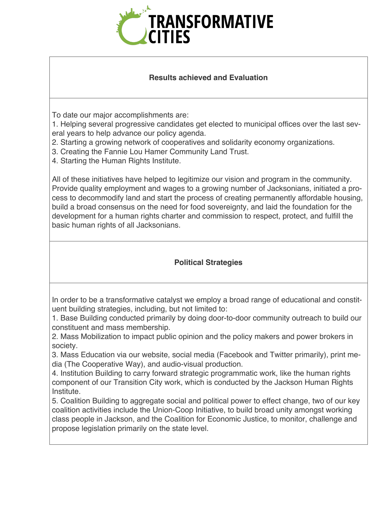

### **Results achieved and Evaluation**

To date our major accomplishments are:

1. Helping several progressive candidates get elected to municipal offices over the last several years to help advance our policy agenda.

- 2. Starting a growing network of cooperatives and solidarity economy organizations.
- 3. Creating the Fannie Lou Hamer Community Land Trust.
- 4. Starting the Human Rights Institute.

All of these initiatives have helped to legitimize our vision and program in the community. Provide quality employment and wages to a growing number of Jacksonians, initiated a process to decommodify land and start the process of creating permanently affordable housing, build a broad consensus on the need for food sovereignty, and laid the foundation for the development for a human rights charter and commission to respect, protect, and fulfill the basic human rights of all Jacksonians.

# **Political Strategies**

In order to be a transformative catalyst we employ a broad range of educational and constituent building strategies, including, but not limited to:

1. Base Building conducted primarily by doing door-to-door community outreach to build our constituent and mass membership.

2. Mass Mobilization to impact public opinion and the policy makers and power brokers in society.

3. Mass Education via our website, social media (Facebook and Twitter primarily), print media (The Cooperative Way), and audio-visual production.

4. Institution Building to carry forward strategic programmatic work, like the human rights component of our Transition City work, which is conducted by the Jackson Human Rights Institute.

5. Coalition Building to aggregate social and political power to effect change, two of our key coalition activities include the Union-Coop Initiative, to build broad unity amongst working class people in Jackson, and the Coalition for Economic Justice, to monitor, challenge and propose legislation primarily on the state level.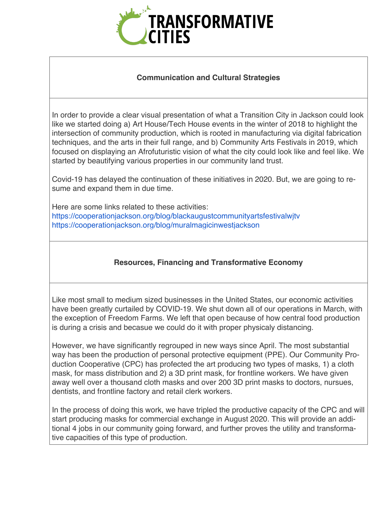

## **Communication and Cultural Strategies**

In order to provide a clear visual presentation of what a Transition City in Jackson could look like we started doing a) Art House/Tech House events in the winter of 2018 to highlight the intersection of community production, which is rooted in manufacturing via digital fabrication techniques, and the arts in their full range, and b) Community Arts Festivals in 2019, which focused on displaying an Afrofuturistic vision of what the city could look like and feel like. We started by beautifying various properties in our community land trust.

Covid-19 has delayed the continuation of these initiatives in 2020. But, we are going to resume and expand them in due time.

Here are some links related to these activities: https://cooperationjackson.org/blog/blackaugustcommunityartsfestivalwjtv https://cooperationjackson.org/blog/muralmagicinwestjackson

# **Resources, Financing and Transformative Economy**

Like most small to medium sized businesses in the United States, our economic activities have been greatly curtailed by COVID-19. We shut down all of our operations in March, with the exception of Freedom Farms. We left that open because of how central food production is during a crisis and becasue we could do it with proper physicaly distancing.

However, we have significantly regrouped in new ways since April. The most substantial way has been the production of personal protective equipment (PPE). Our Community Production Cooperative (CPC) has profected the art producing two types of masks, 1) a cloth mask, for mass distribution and 2) a 3D print mask, for frontline workers. We have given away well over a thousand cloth masks and over 200 3D print masks to doctors, nursues, dentists, and frontline factory and retail clerk workers.

In the process of doing this work, we have tripled the productive capacity of the CPC and will start producing masks for commercial exchange in August 2020. This will provide an additional 4 jobs in our community going forward, and further proves the utility and transformative capacities of this type of production.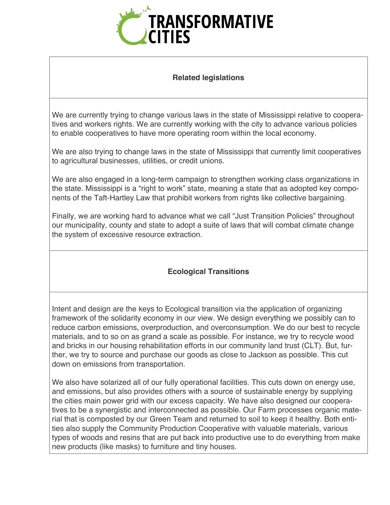

#### **Related legislations**

We are currently trying to change various laws in the state of Mississippi relative to cooperatives and workers rights. We are currently working with the city to advance various policies to enable cooperatives to have more operating room within the local economy.

We are also trying to change laws in the state of Mississippi that currently limit cooperatives to agricultural businesses, utilities, or credit unions.

We are also engaged in a long-term campaign to strengthen working class organizations in the state. Mississippi is a "right to work" state, meaning a state that as adopted key components of the Taft-Hartley Law that prohibit workers from rights like collective bargaining.

Finally, we are working hard to advance what we call "Just Transition Policies" throughout our municipality, county and state to adopt a suite of laws that will combat climate change the system of excessive resource extraction.

# **Ecological Transitions**

Intent and design are the keys to Ecological transition via the application of organizing framework of the solidarity economy in our view. We design everything we possibly can to reduce carbon emissions, overproduction, and overconsumption. We do our best to recycle materials, and to so on as grand a scale as possible. For instance, we try to recycle wood and bricks in our housing rehabilitation efforts in our community land trust (CLT). But, further, we try to source and purchase our goods as close to Jackson as possible. This cut down on emissions from transportation.

We also have solarized all of our fully operational facilities. This cuts down on energy use, and emissions, but also provides others with a source of sustainable energy by supplying the cities main power grid with our excess capacity. We have also designed our cooperatives to be a synergistic and interconnected as possible. Our Farm processes organic material that is composted by our Green Team and returned to soil to keep it healthy. Both entities also supply the Community Production Cooperative with valuable materials, various types of woods and resins that are put back into productive use to do everything from make new products (like masks) to furniture and tiny houses.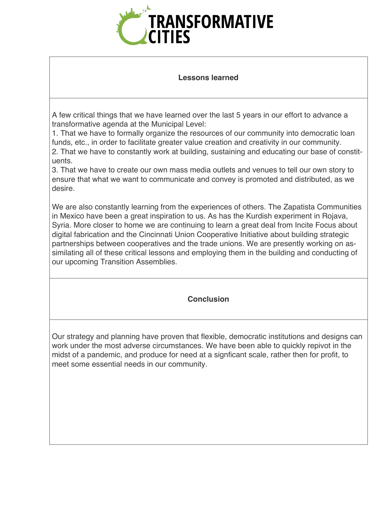

#### **Lessons learned**

A few critical things that we have learned over the last 5 years in our effort to advance a transformative agenda at the Municipal Level:

1. That we have to formally organize the resources of our community into democratic loan funds, etc., in order to facilitate greater value creation and creativity in our community. 2. That we have to constantly work at building, sustaining and educating our base of constituents.

3. That we have to create our own mass media outlets and venues to tell our own story to ensure that what we want to communicate and convey is promoted and distributed, as we desire.

We are also constantly learning from the experiences of others. The Zapatista Communities in Mexico have been a great inspiration to us. As has the Kurdish experiment in Rojava, Syria. More closer to home we are continuing to learn a great deal from Incite Focus about digital fabrication and the Cincinnati Union Cooperative Initiative about building strategic partnerships between cooperatives and the trade unions. We are presently working on assimilating all of these critical lessons and employing them in the building and conducting of our upcoming Transition Assemblies.

### **Conclusion**

Our strategy and planning have proven that flexible, democratic institutions and designs can work under the most adverse circumstances. We have been able to quickly repivot in the midst of a pandemic, and produce for need at a signficant scale, rather then for profit, to meet some essential needs in our community.